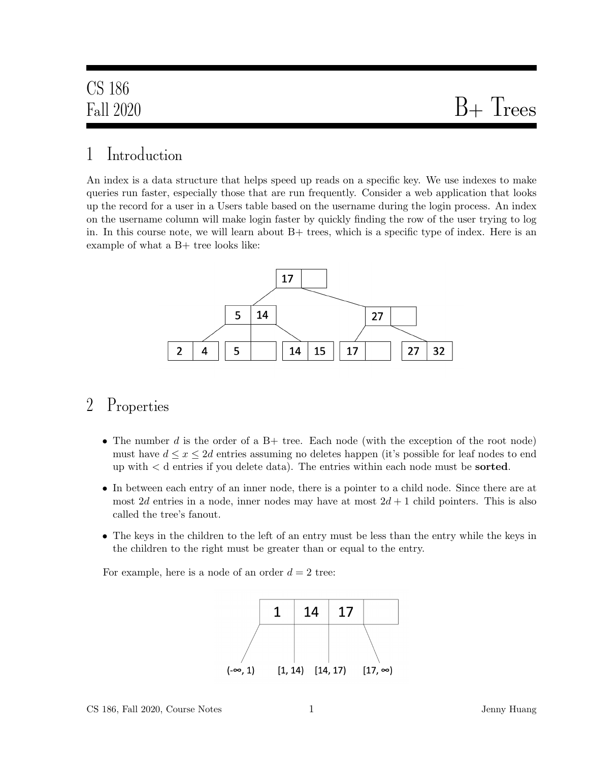# Fall 2020  $B+T$ rees

### 1 Introduction

An index is a data structure that helps speed up reads on a specific key. We use indexes to make queries run faster, especially those that are run frequently. Consider a web application that looks up the record for a user in a Users table based on the username during the login process. An index on the username column will make login faster by quickly finding the row of the user trying to log in. In this course note, we will learn about B+ trees, which is a specific type of index. Here is an example of what a B+ tree looks like:



### 2 Properties

- The number d is the order of a  $B+$  tree. Each node (with the exception of the root node) must have  $d \leq x \leq 2d$  entries assuming no deletes happen (it's possible for leaf nodes to end up with < d entries if you delete data). The entries within each node must be sorted.
- In between each entry of an inner node, there is a pointer to a child node. Since there are at most 2d entries in a node, inner nodes may have at most  $2d + 1$  child pointers. This is also called the tree's fanout.
- The keys in the children to the left of an entry must be less than the entry while the keys in the children to the right must be greater than or equal to the entry.

For example, here is a node of an order  $d = 2$  tree:

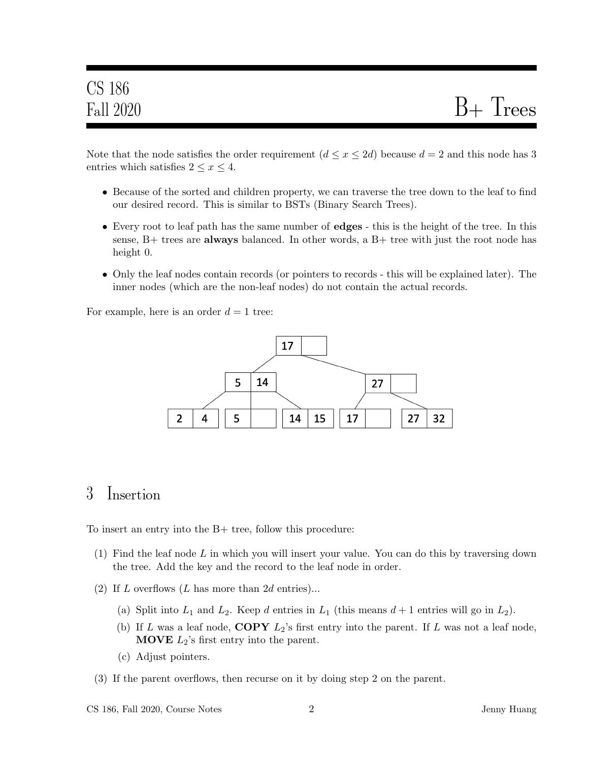Note that the node satisfies the order requirement  $(d \le x \le 2d)$  because  $d = 2$  and this node has 3 entries which satisfies  $2 \leq x \leq 4$ .

- Because of the sorted and children property, we can traverse the tree down to the leaf to find our desired record. This is similar to BSTs (Binary Search Trees).
- Every root to leaf path has the same number of edges this is the height of the tree. In this sense,  $B+$  trees are **always** balanced. In other words, a  $B+$  tree with just the root node has height 0.
- Only the leaf nodes contain records (or pointers to records this will be explained later). The inner nodes (which are the non-leaf nodes) do not contain the actual records.

For example, here is an order  $d = 1$  tree:



### 3 Insertion

To insert an entry into the B+ tree, follow this procedure:

- (1) Find the leaf node L in which you will insert your value. You can do this by traversing down the tree. Add the key and the record to the leaf node in order.
- (2) If L overflows (L has more than  $2d$  entries)...
	- (a) Split into  $L_1$  and  $L_2$ . Keep d entries in  $L_1$  (this means  $d+1$  entries will go in  $L_2$ ).
	- (b) If L was a leaf node,  $\text{COPY } L_2$ 's first entry into the parent. If L was not a leaf node, **MOVE**  $L_2$ 's first entry into the parent.
	- (c) Adjust pointers.
- (3) If the parent overflows, then recurse on it by doing step 2 on the parent.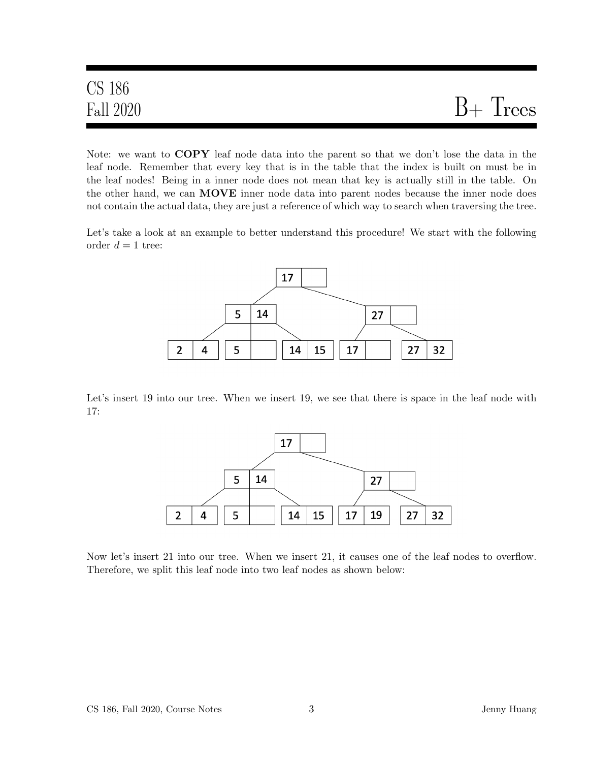# CS 186  $Fall 2020$   $B+Trees$

Note: we want to COPY leaf node data into the parent so that we don't lose the data in the leaf node. Remember that every key that is in the table that the index is built on must be in the leaf nodes! Being in a inner node does not mean that key is actually still in the table. On the other hand, we can **MOVE** inner node data into parent nodes because the inner node does not contain the actual data, they are just a reference of which way to search when traversing the tree.

Let's take a look at an example to better understand this procedure! We start with the following order  $d = 1$  tree:



Let's insert 19 into our tree. When we insert 19, we see that there is space in the leaf node with 17:



Now let's insert 21 into our tree. When we insert 21, it causes one of the leaf nodes to overflow. Therefore, we split this leaf node into two leaf nodes as shown below: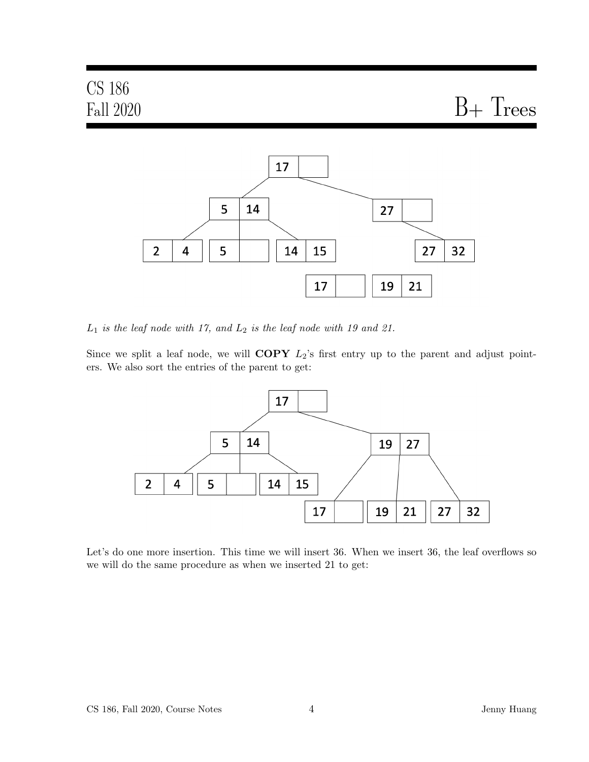

 $L_1$  is the leaf node with 17, and  $L_2$  is the leaf node with 19 and 21.

Since we split a leaf node, we will  $\text{COPY}$   $L_2$ 's first entry up to the parent and adjust pointers. We also sort the entries of the parent to get:



Let's do one more insertion. This time we will insert 36. When we insert 36, the leaf overflows so we will do the same procedure as when we inserted 21 to get: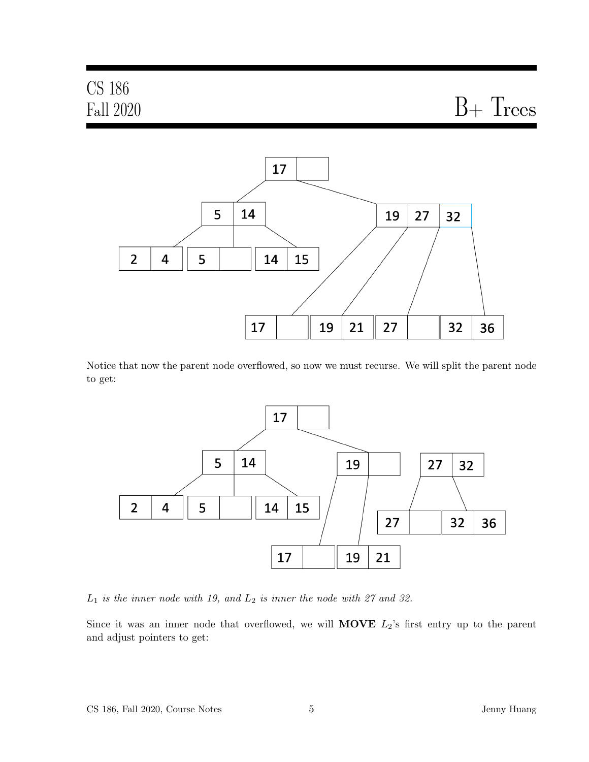#### CS 186  $Fall 2020$   $B+ Trees$  $\overline{2}$

Notice that now the parent node overflowed, so now we must recurse. We will split the parent node to get:



 $L_1$  is the inner node with 19, and  $L_2$  is inner the node with 27 and 32.

Since it was an inner node that overflowed, we will **MOVE**  $L_2$ 's first entry up to the parent and adjust pointers to get: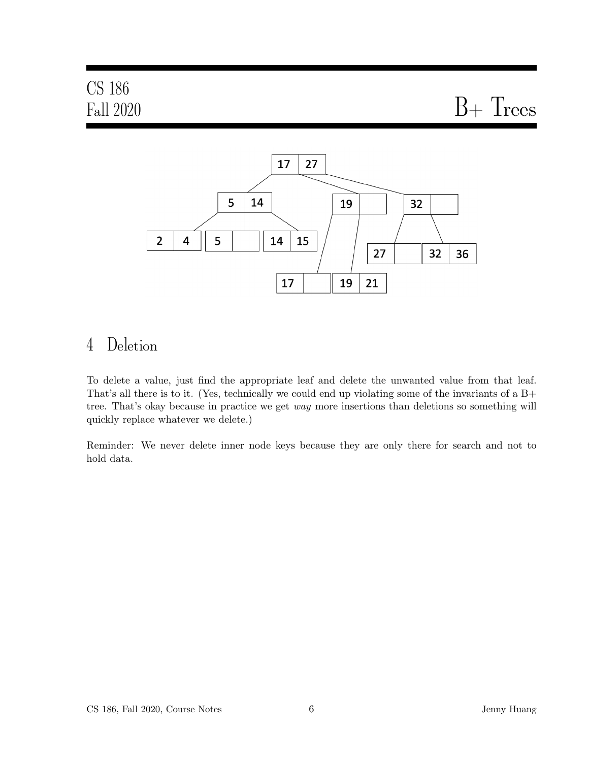$Fall 2020$   $B+Trees$ 



# 4 Deletion

To delete a value, just find the appropriate leaf and delete the unwanted value from that leaf. That's all there is to it. (Yes, technically we could end up violating some of the invariants of a B+ tree. That's okay because in practice we get way more insertions than deletions so something will quickly replace whatever we delete.)

Reminder: We never delete inner node keys because they are only there for search and not to hold data.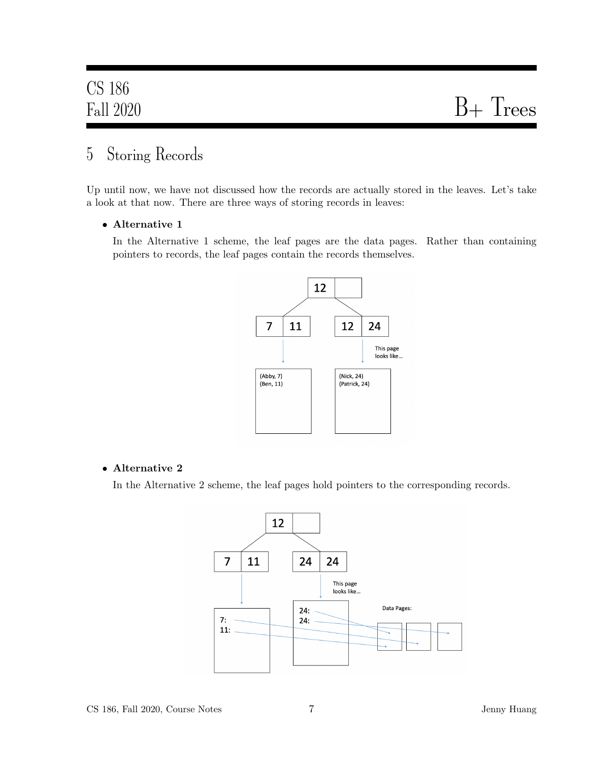## 5 Storing Records

Up until now, we have not discussed how the records are actually stored in the leaves. Let's take a look at that now. There are three ways of storing records in leaves:

#### • Alternative 1

In the Alternative 1 scheme, the leaf pages are the data pages. Rather than containing pointers to records, the leaf pages contain the records themselves.



#### • Alternative 2

In the Alternative 2 scheme, the leaf pages hold pointers to the corresponding records.

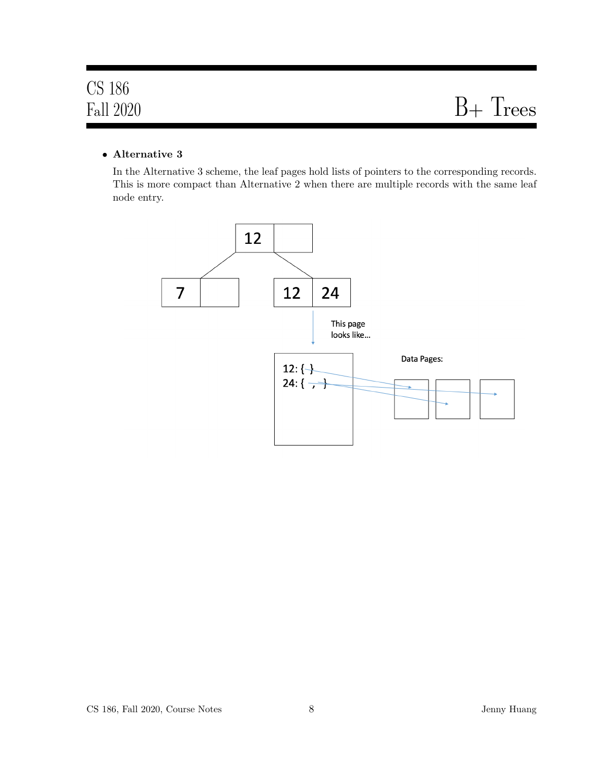#### • Alternative 3

In the Alternative 3 scheme, the leaf pages hold lists of pointers to the corresponding records. This is more compact than Alternative 2 when there are multiple records with the same leaf node entry.

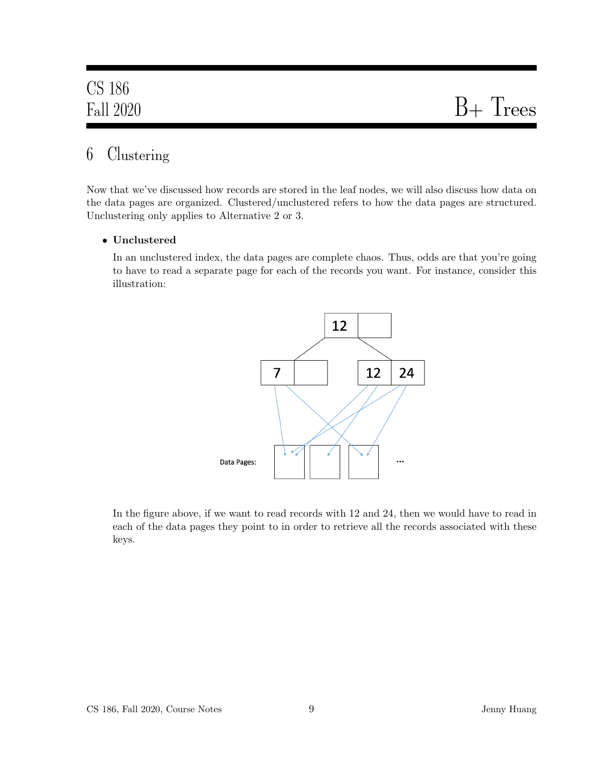# 6 Clustering

Now that we've discussed how records are stored in the leaf nodes, we will also discuss how data on the data pages are organized. Clustered/unclustered refers to how the data pages are structured. Unclustering only applies to Alternative 2 or 3.

#### • Unclustered

In an unclustered index, the data pages are complete chaos. Thus, odds are that you're going to have to read a separate page for each of the records you want. For instance, consider this illustration:



In the figure above, if we want to read records with 12 and 24, then we would have to read in each of the data pages they point to in order to retrieve all the records associated with these keys.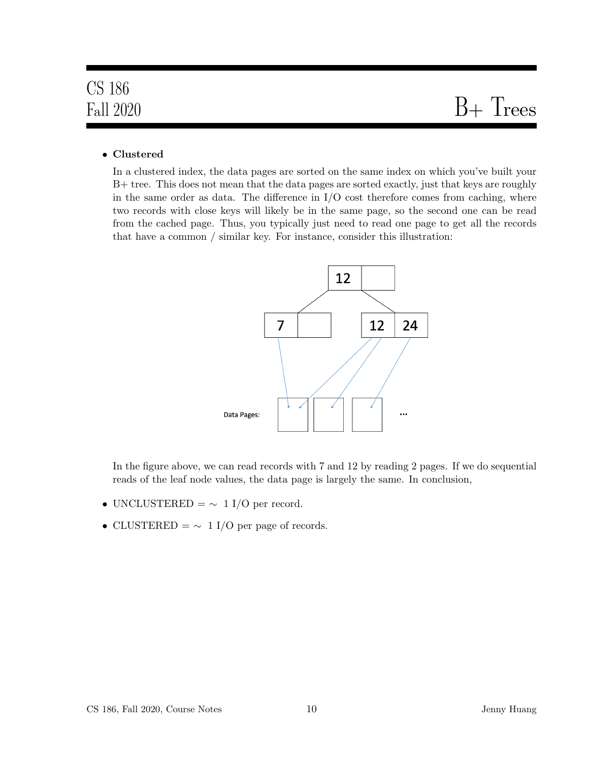# $Fall 2020$   $B+Trees$

#### • Clustered

In a clustered index, the data pages are sorted on the same index on which you've built your B+ tree. This does not mean that the data pages are sorted exactly, just that keys are roughly in the same order as data. The difference in  $I/O$  cost therefore comes from caching, where two records with close keys will likely be in the same page, so the second one can be read from the cached page. Thus, you typically just need to read one page to get all the records that have a common / similar key. For instance, consider this illustration:



In the figure above, we can read records with 7 and 12 by reading 2 pages. If we do sequential reads of the leaf node values, the data page is largely the same. In conclusion,

- UNCLUSTERED =  $\sim 1$  I/O per record.
- CLUSTERED =  $\sim 1$  I/O per page of records.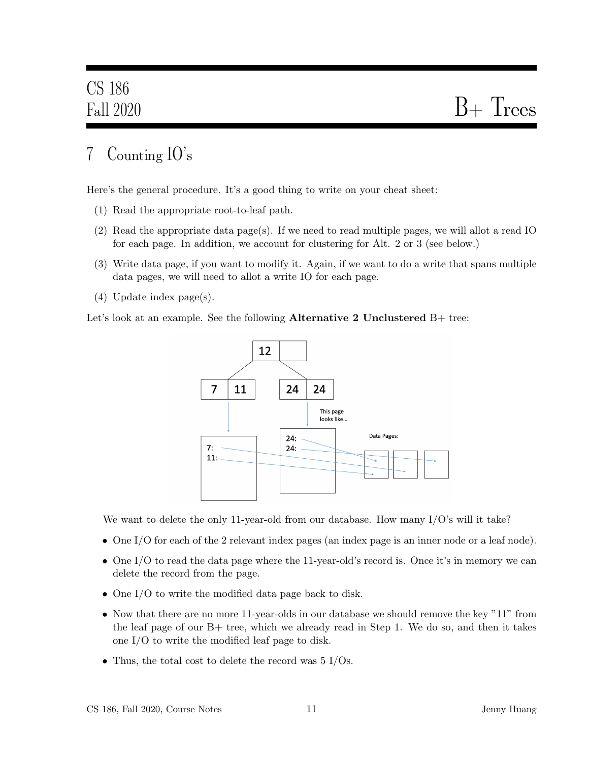# 7 Counting IO's

Here's the general procedure. It's a good thing to write on your cheat sheet:

- (1) Read the appropriate root-to-leaf path.
- (2) Read the appropriate data page(s). If we need to read multiple pages, we will allot a read IO for each page. In addition, we account for clustering for Alt. 2 or 3 (see below.)
- (3) Write data page, if you want to modify it. Again, if we want to do a write that spans multiple data pages, we will need to allot a write IO for each page.
- (4) Update index page(s).

Let's look at an example. See the following **Alternative 2 Unclustered**  $B+$  tree:



We want to delete the only 11-year-old from our database. How many I/O's will it take?

- One I/O for each of the 2 relevant index pages (an index page is an inner node or a leaf node).
- One I/O to read the data page where the 11-year-old's record is. Once it's in memory we can delete the record from the page.
- One I/O to write the modified data page back to disk.
- Now that there are no more 11-year-olds in our database we should remove the key "11" from the leaf page of our B+ tree, which we already read in Step 1. We do so, and then it takes one I/O to write the modified leaf page to disk.
- Thus, the total cost to delete the record was 5 I/Os.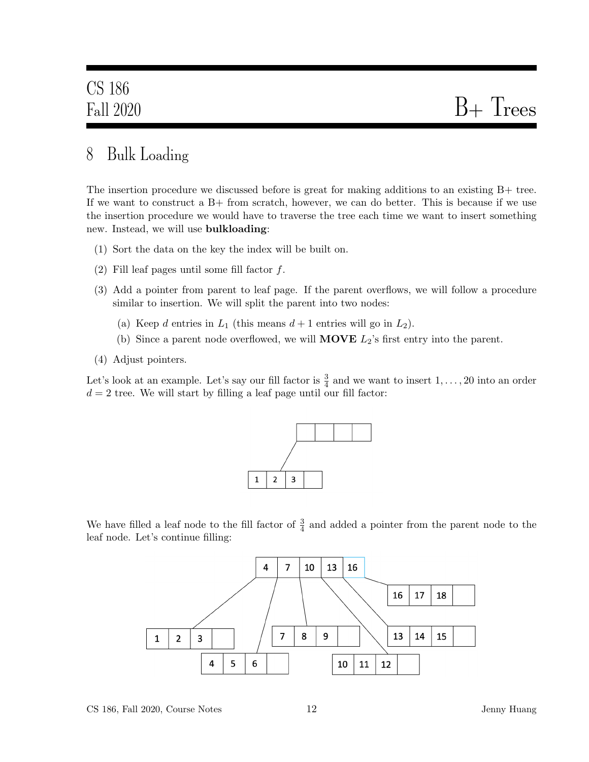## 8 Bulk Loading

The insertion procedure we discussed before is great for making additions to an existing B+ tree. If we want to construct a  $B+$  from scratch, however, we can do better. This is because if we use the insertion procedure we would have to traverse the tree each time we want to insert something new. Instead, we will use bulkloading:

- (1) Sort the data on the key the index will be built on.
- (2) Fill leaf pages until some fill factor  $f$ .
- (3) Add a pointer from parent to leaf page. If the parent overflows, we will follow a procedure similar to insertion. We will split the parent into two nodes:
	- (a) Keep d entries in  $L_1$  (this means  $d+1$  entries will go in  $L_2$ ).
	- (b) Since a parent node overflowed, we will **MOVE**  $L_2$ 's first entry into the parent.
- (4) Adjust pointers.

Let's look at an example. Let's say our fill factor is  $\frac{3}{4}$  and we want to insert  $1, \ldots, 20$  into an order  $d = 2$  tree. We will start by filling a leaf page until our fill factor:



We have filled a leaf node to the fill factor of  $\frac{3}{4}$  and added a pointer from the parent node to the leaf node. Let's continue filling:

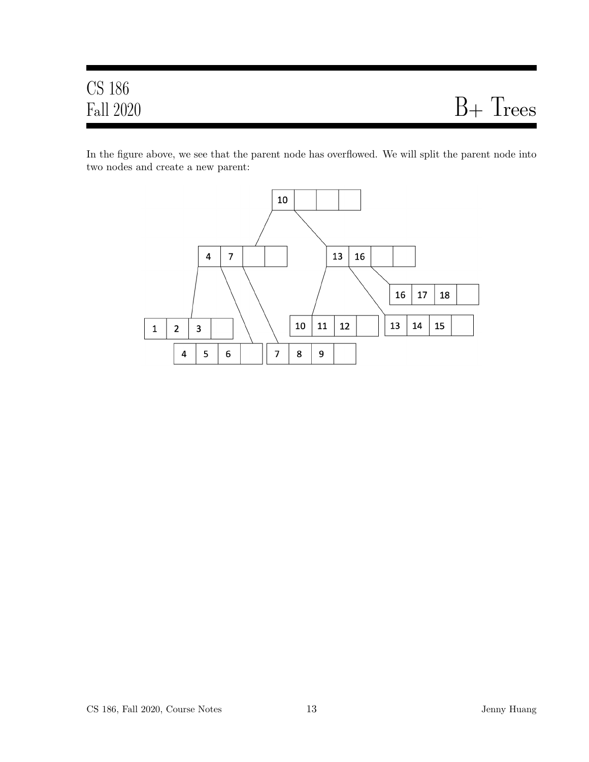In the figure above, we see that the parent node has overflowed. We will split the parent node into two nodes and create a new parent:

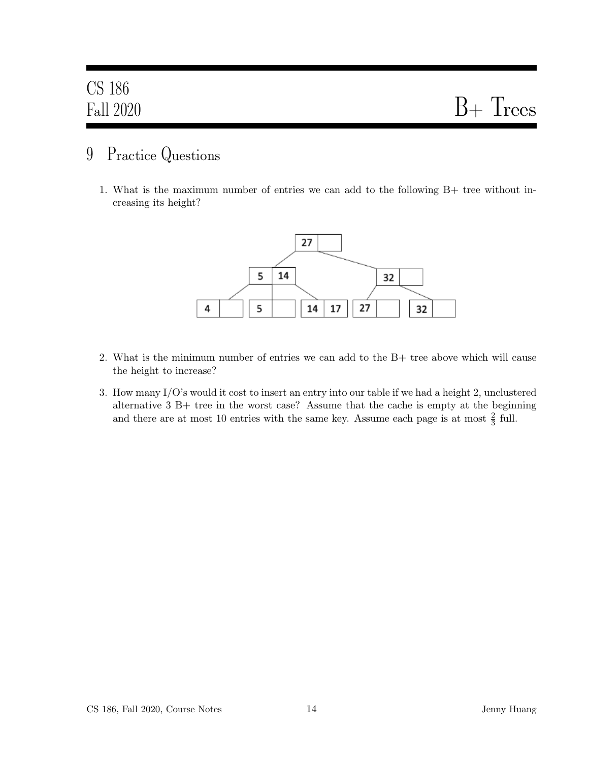### 9 Practice Questions

1. What is the maximum number of entries we can add to the following B+ tree without increasing its height?



- 2. What is the minimum number of entries we can add to the B+ tree above which will cause the height to increase?
- 3. How many I/O's would it cost to insert an entry into our table if we had a height 2, unclustered alternative 3 B+ tree in the worst case? Assume that the cache is empty at the beginning and there are at most 10 entries with the same key. Assume each page is at most  $\frac{2}{3}$  full.